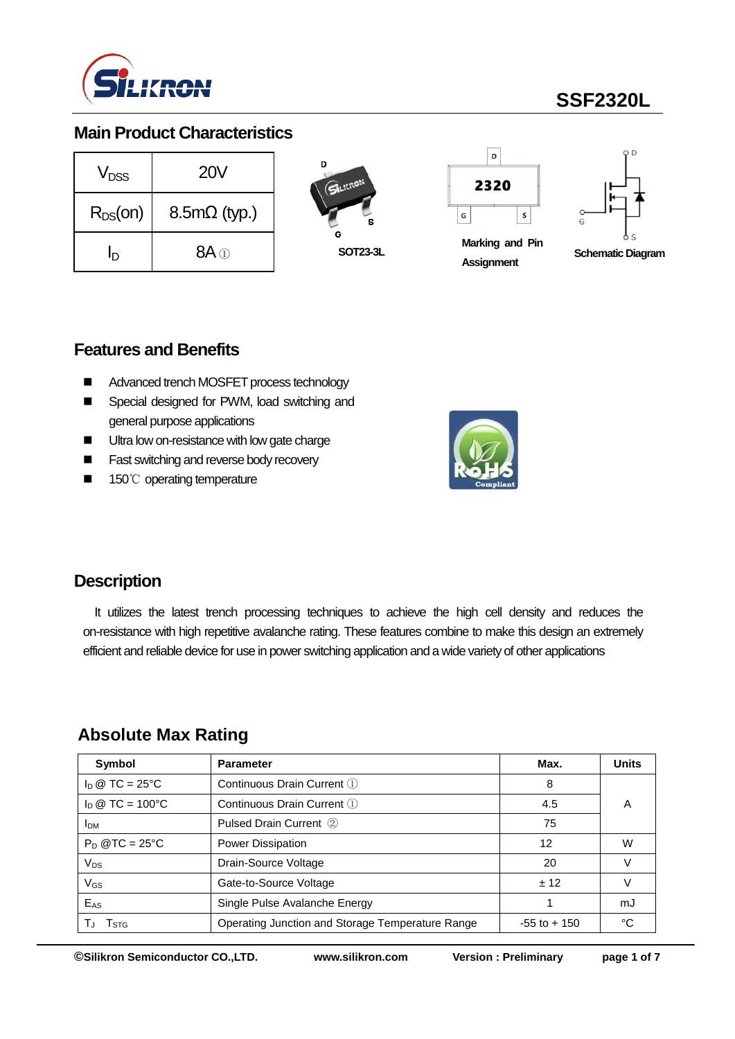

# **SSF2320L**

### **Main Product Characteristics**

| V <sub>DSS</sub> | <b>20V</b>          |  |  |  |
|------------------|---------------------|--|--|--|
| $R_{DS}(on)$     | $8.5m\Omega$ (typ.) |  |  |  |
| חו               | $8A \odot$          |  |  |  |





**Marking and Pin Assignment**



**Schematic Diagram**

### **Features and Benefits**

- Advanced trench MOSFET process technology
- Special designed for PWM, load switching and general purpose applications
- **Ultra low on-resistance with low gate charge**
- **Fast switching and reverse body recovery**
- 150℃ operating temperature



### **Description**

It utilizes the latest trench processing techniques to achieve the high cell density and reduces the on-resistance with high repetitive avalanche rating. These features combine to make this design an extremely efficient and reliable device for use in power switching application and a wide variety of other applications

### **Absolute Max Rating**

| Symbol             | <b>Parameter</b>                                 | Max.            | <b>Units</b> |  |
|--------------------|--------------------------------------------------|-----------------|--------------|--|
| $I_D @ TC = 25°C$  | Continuous Drain Current 1                       | 8               |              |  |
| $I_D @ TC = 100°C$ | Continuous Drain Current 1                       | 4.5             | Α            |  |
| <b>IDM</b>         | Pulsed Drain Current 2                           | 75              |              |  |
| $P_D @TC = 25°C$   | <b>Power Dissipation</b>                         | 12              | W            |  |
| $V_{DS}$           | Drain-Source Voltage                             | 20              |              |  |
| V <sub>GS</sub>    | Gate-to-Source Voltage                           | ± 12            |              |  |
| E <sub>AS</sub>    | Single Pulse Avalanche Energy                    |                 | mJ           |  |
| I STG              | Operating Junction and Storage Temperature Range | $-55$ to $+150$ | °C           |  |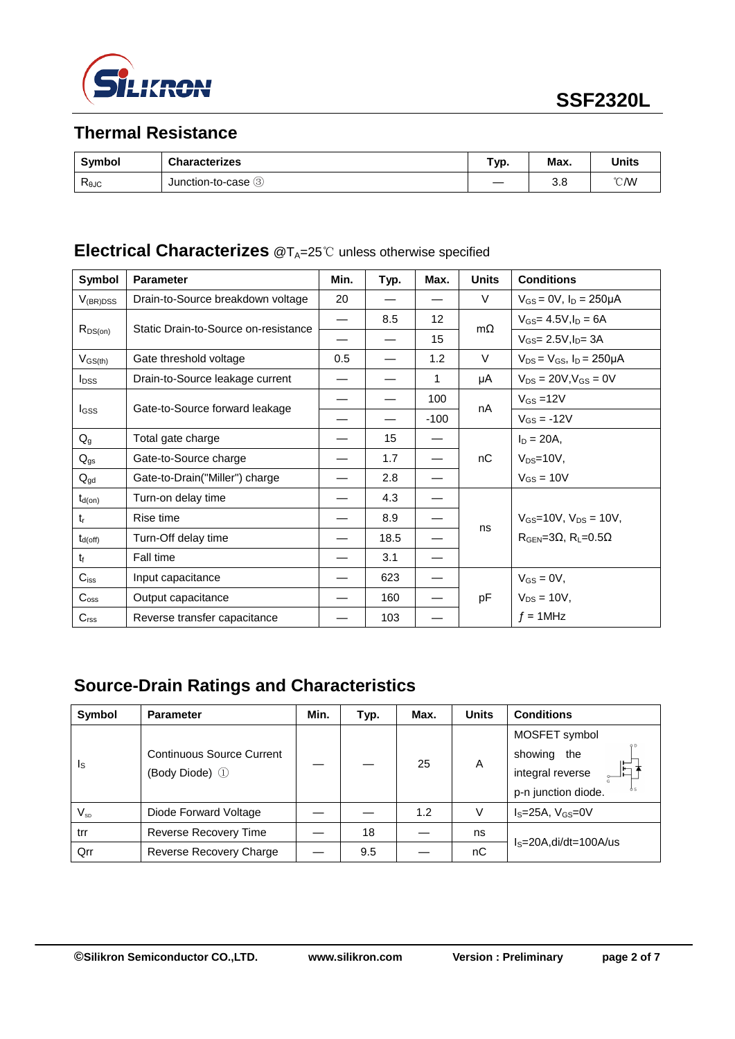

## **Thermal Resistance**

| <b>Symbol</b>               | <b>Characterizes</b> | $\sim$<br>тур. | Max. | Units         |
|-----------------------------|----------------------|----------------|------|---------------|
| $\mathsf{R}_{\texttt{0JC}}$ | Junction-to-case 3   |                | 3.8  | $^{\circ}$ CM |

# **Electrical Characterizes** @T<sub>A</sub>=25℃ unless otherwise specified

| Symbol                  | <b>Parameter</b>                     | Min. | Typ. | Max.   | <b>Units</b> | <b>Conditions</b>                     |  |  |                |
|-------------------------|--------------------------------------|------|------|--------|--------------|---------------------------------------|--|--|----------------|
| $V_{(BR)DSS}$           | Drain-to-Source breakdown voltage    | 20   |      |        | $\vee$       | $V_{GS} = 0V$ , $I_D = 250 \mu A$     |  |  |                |
| $R_{DS(on)}$            | Static Drain-to-Source on-resistance |      | 8.5  | 12     | $m\Omega$    | $V_{GS} = 4.5V, I_D = 6A$             |  |  |                |
|                         |                                      |      |      | 15     |              | $V_{GS} = 2.5V I_{D} = 3A$            |  |  |                |
| $V_{GS(th)}$            | Gate threshold voltage               | 0.5  |      | 1.2    | $\vee$       | $V_{DS} = V_{GS}$ , $I_D = 250 \mu A$ |  |  |                |
| <b>I</b> <sub>DSS</sub> | Drain-to-Source leakage current      |      |      | 1      | μA           | $V_{DS} = 20V$ , $V_{GS} = 0V$        |  |  |                |
|                         |                                      |      |      | 100    |              |                                       |  |  | $V_{GS} = 12V$ |
| I <sub>GSS</sub>        | Gate-to-Source forward leakage       |      |      | $-100$ | nA           | $V_{GS} = -12V$                       |  |  |                |
| $Q_{q}$                 | Total gate charge                    |      | 15   |        |              | $I_D = 20A,$                          |  |  |                |
| $Q_{gs}$                | Gate-to-Source charge                |      | 1.7  |        | nC           | $V_{DS}=10V$ ,                        |  |  |                |
| $Q_{gd}$                | Gate-to-Drain("Miller") charge       |      | 2.8  |        |              | $V_{GS} = 10V$                        |  |  |                |
| $t_{d(on)}$             | Turn-on delay time                   |      | 4.3  |        |              |                                       |  |  |                |
| $t_{r}$                 | Rise time                            |      | 8.9  |        |              | $V_{GS}$ =10V, $V_{DS}$ = 10V,        |  |  |                |
| $t_{d(off)}$            | Turn-Off delay time                  |      | 18.5 |        | ns           | $RGEN=3\Omega$ , $RL=0.5\Omega$       |  |  |                |
| $t_{\rm f}$             | Fall time                            |      | 3.1  |        |              |                                       |  |  |                |
| $C_{iss}$               | Input capacitance                    |      | 623  |        |              | $V_{GS} = 0V$ ,                       |  |  |                |
| $C_{\rm oss}$           | Output capacitance                   |      | 160  |        | pF           | $V_{DS} = 10V$ ,                      |  |  |                |
| $C_{\text{rss}}$        | Reverse transfer capacitance         |      | 103  |        |              | $f = 1$ MHz                           |  |  |                |

# **Source-Drain Ratings and Characteristics**

| <b>Symbol</b>           | <b>Parameter</b>                                   | Min. | Typ. | Max. | <b>Units</b> | <b>Conditions</b>        |  |
|-------------------------|----------------------------------------------------|------|------|------|--------------|--------------------------|--|
| $\mathsf{I}_\mathsf{S}$ | <b>Continuous Source Current</b><br>(Body Diode) 1 |      |      | 25   | A            | MOSFET symbol            |  |
|                         |                                                    |      |      |      |              | showing<br>the           |  |
|                         |                                                    |      |      |      |              | E<br>integral reverse    |  |
|                         |                                                    |      |      |      |              | p-n junction diode.      |  |
| $V_{SD}$                | Diode Forward Voltage                              |      |      | 1.2  | V            | $IS=25A, VGS=0V$         |  |
| trr                     | Reverse Recovery Time                              |      | 18   |      | ns           | $IS=20A$ , di/dt=100A/us |  |
| Qrr                     | Reverse Recovery Charge                            |      | 9.5  |      | nC           |                          |  |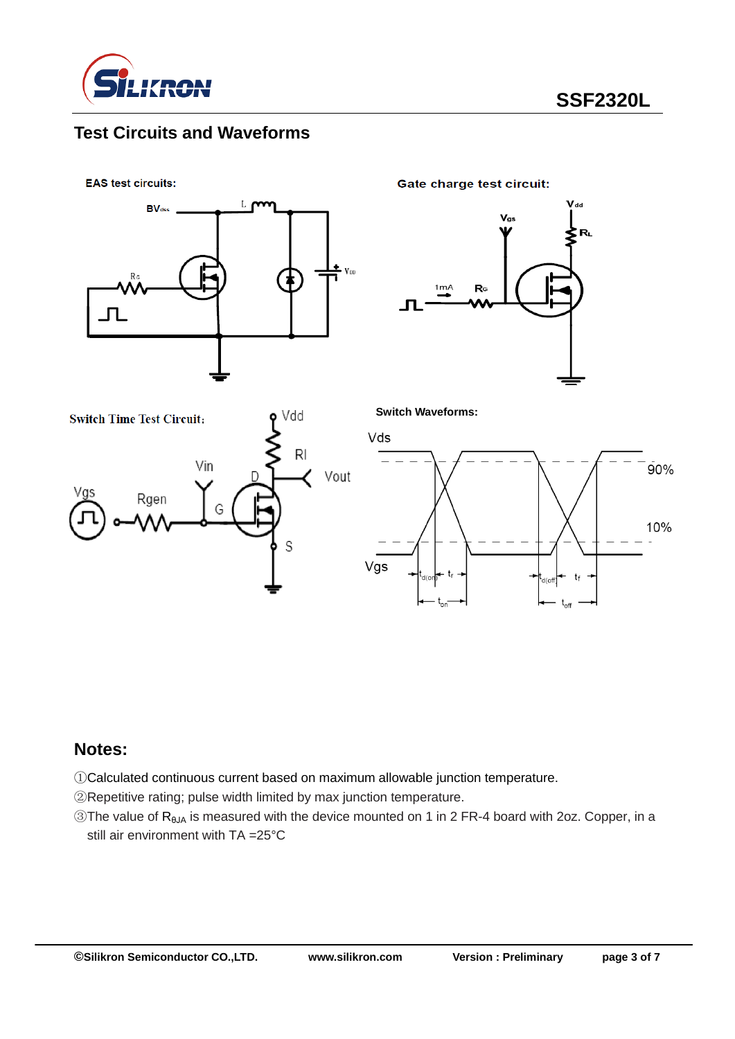

## **Test Circuits and Waveforms**

**EAS test circuits:** 



**Gate charge test circuit:** 





**Switch Waveforms:**



#### **Notes:**

①Calculated continuous current based on maximum allowable junction temperature.

②Repetitive rating; pulse width limited by max junction temperature.

③The value of RθJA is measured with the device mounted on 1 in 2 FR-4 board with 2oz. Copper, in a still air environment with TA =25°C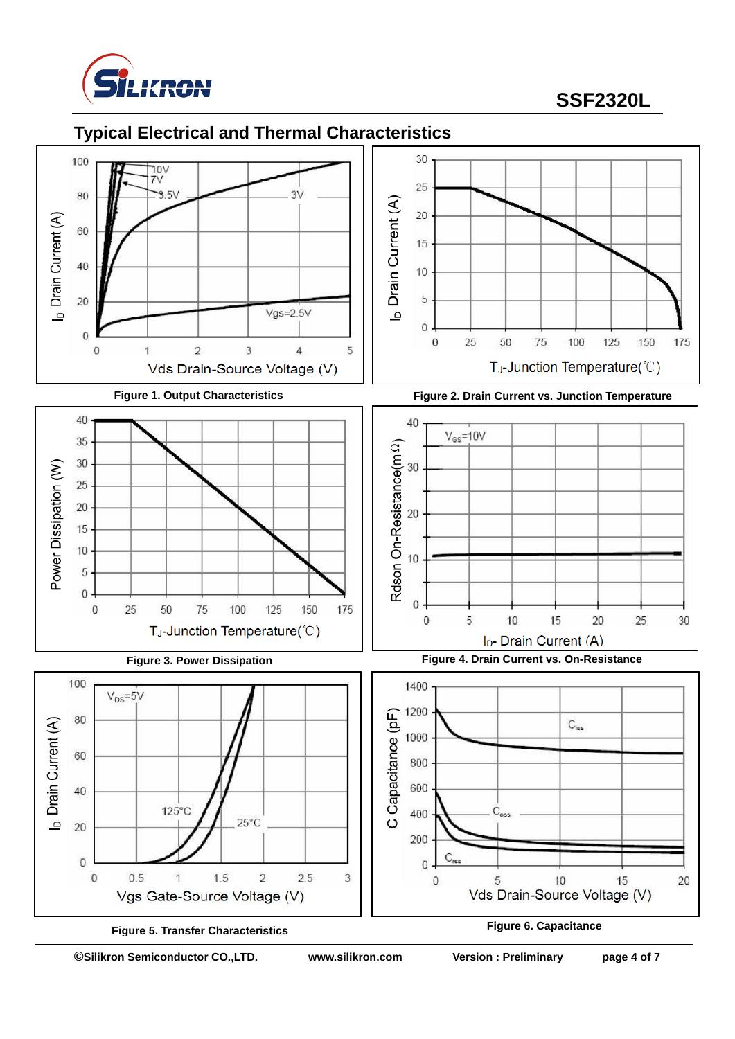

## **SSF2320L**

### **Typical Electrical and Thermal Characteristics**





**©Silikron Semiconductor CO.,LTD. www.silikron.com Version : Preliminary page 4 of 7**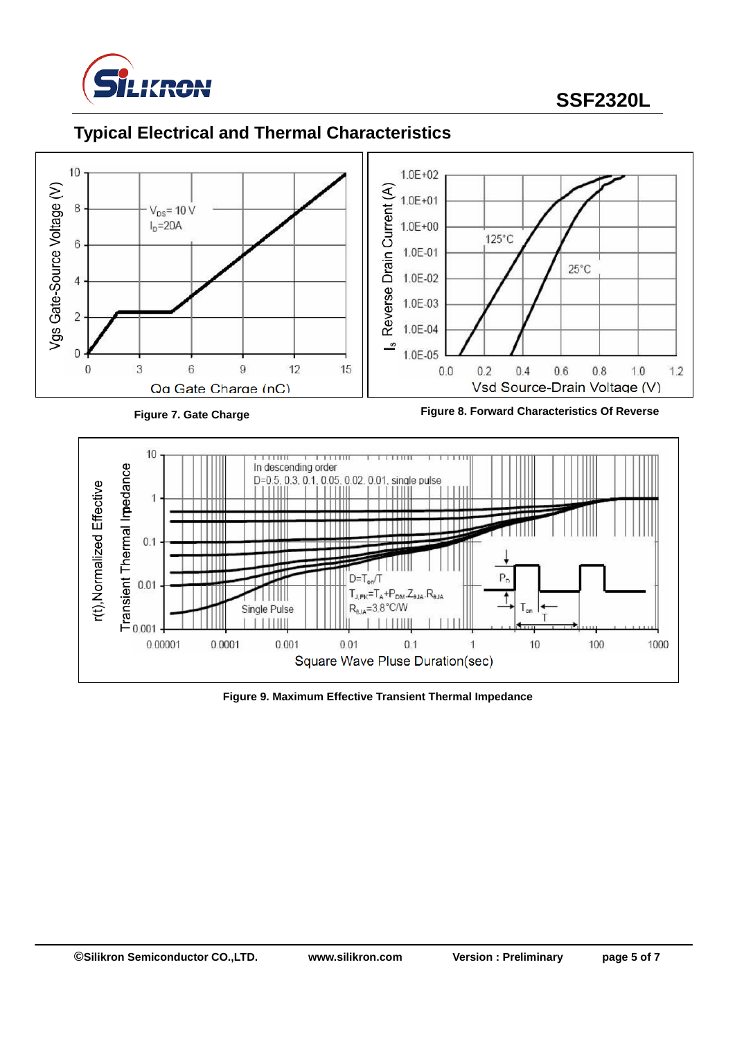

## **SSF2320L**

# **Typical Electrical and Thermal Characteristics**



**Figure 9. Maximum Effective Transient Thermal Impedance**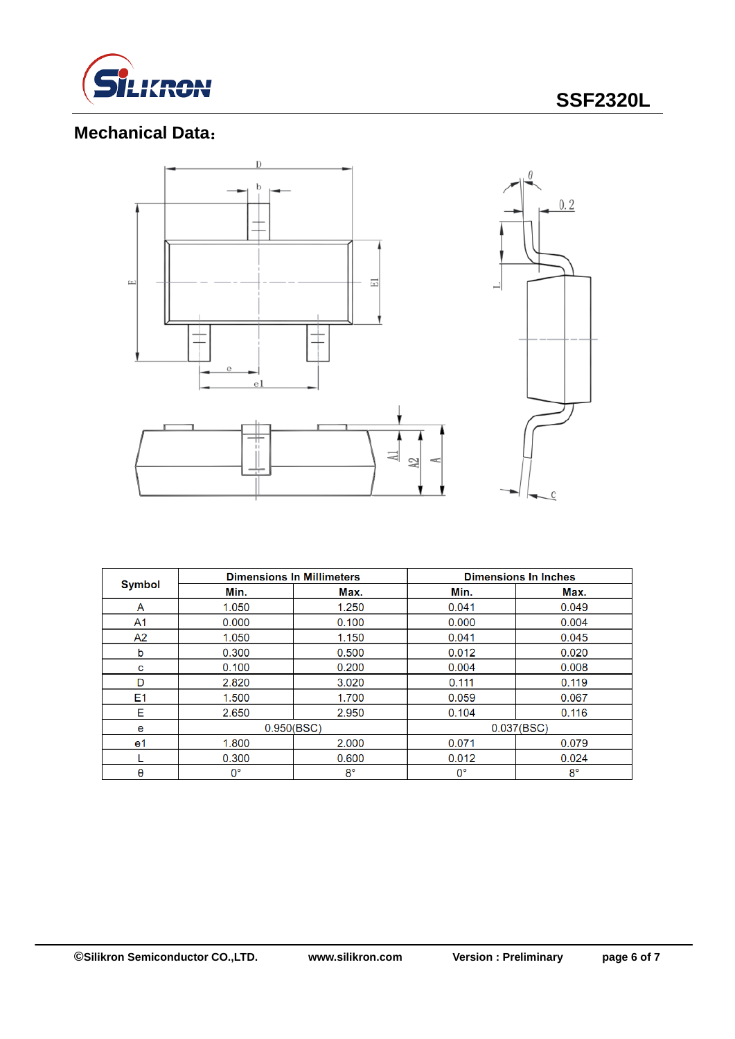

# **Mechanical Data**:



|                | <b>Dimensions In Millimeters</b> |             | <b>Dimensions In Inches</b> |             |  |
|----------------|----------------------------------|-------------|-----------------------------|-------------|--|
| <b>Symbol</b>  | Min.                             | Max.        | Min.                        | Max.        |  |
| A              | 1.050                            | 1.250       | 0.041                       | 0.049       |  |
| A <sub>1</sub> | 0.000                            | 0.100       | 0.000                       | 0.004       |  |
| A <sub>2</sub> | 1.050                            | 1.150       | 0.041                       | 0.045       |  |
| b              | 0.300                            | 0.500       | 0.012                       | 0.020       |  |
| с              | 0.100                            | 0.200       | 0.004                       | 0.008       |  |
| D              | 2.820                            | 3.020       | 0.111                       | 0.119       |  |
| E1             | 1.500                            | 1.700       | 0.059                       | 0.067       |  |
| Е              | 2.650                            | 2.950       | 0.104                       | 0.116       |  |
| e              | 0.950(BSC)                       |             |                             | 0.037(BSC)  |  |
| e1             | 1.800                            | 2.000       | 0.071                       | 0.079       |  |
|                | 0.300                            | 0.600       | 0.012                       | 0.024       |  |
| θ              | $0^{\circ}$                      | $8^{\circ}$ | $0^{\circ}$                 | $8^{\circ}$ |  |